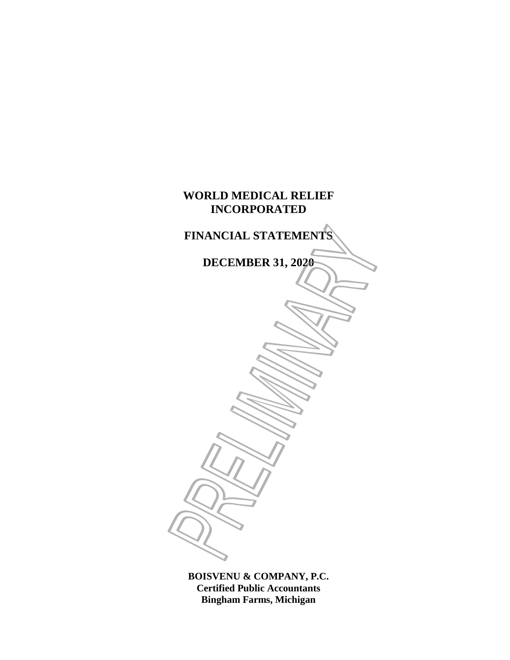

**BOISVENU & COMPANY, P.C. Certified Public Accountants Bingham Farms, Michigan**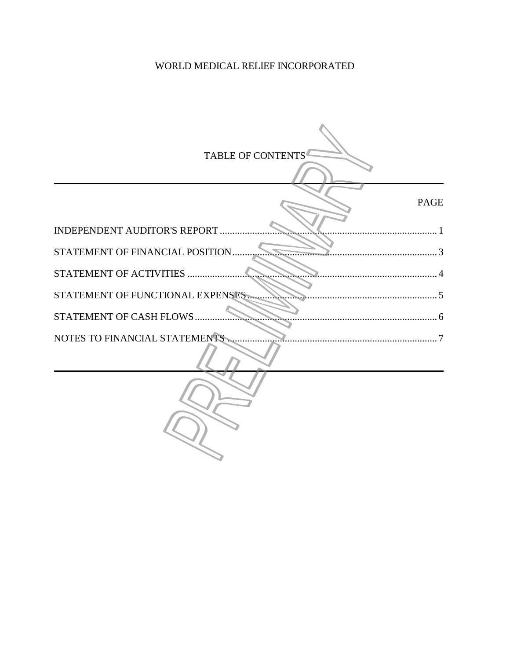| <b>TABLE OF CONTENTS</b>         |               |
|----------------------------------|---------------|
|                                  |               |
|                                  | <b>PAGE</b>   |
| INDEPENDENT AUDITOR'S REPORT.    |               |
| STATEMENT OF FINANCIAL POSITION. | $\mathcal{R}$ |
| STATEMENT OF ACTIVITIES          |               |
| STATEMENT OF FUNCTIONAL EXPENSES | $\sim$ 5      |
| STATEMENT OF CASH FLOWS          |               |
| NOTES TO FINANCIAL STATEMENTS    | 7             |
|                                  |               |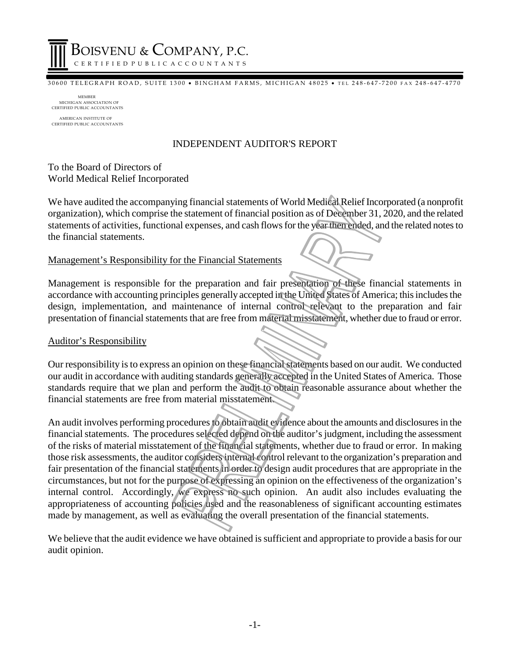<span id="page-2-0"></span>

30600 TELEGRAPH ROAD, SUITE 1300 • BINGHAM FARMS, MICHIGAN 48025 • TEL 248 - 647 - 7200 FAX 248 - 647 - 4770

MEMBER MICHIGAN ASSOCIATION OF CERTIFIED PUBLIC ACCOUNTANTS

AMERICAN INSTITUTE OF CERTIFIED PUBLIC ACCOUNTANTS

#### INDEPENDENT AUDITOR'S REPORT

To the Board of Directors of World Medical Relief Incorporated

We have audited the accompanying financial statements of World Medical Relief Incorporated (a nonprofit organization), which comprise the statement of financial position as of December 31, 2020, and the related statements of activities, functional expenses, and cash flows for the year then ended, and the related notes to the financial statements.

#### Management's Responsibility for the Financial Statements

Management is responsible for the preparation and fair presentation of these financial statements in accordance with accounting principles generally accepted in the United States of America; this includes the design, implementation, and maintenance of internal control relevant to the preparation and fair presentation of financial statements that are free from material misstatement, whether due to fraud or error.

#### Auditor's Responsibility

Our responsibility is to express an opinion on these financial statements based on our audit. We conducted our audit in accordance with auditing standards generally accepted in the United States of America. Those standards require that we plan and perform the audit to obtain reasonable assurance about whether the financial statements are free from material misstatement.

An audit involves performing procedures to obtain audit evidence about the amounts and disclosures in the financial statements. The procedures selected depend on the auditor's judgment, including the assessment of the risks of material misstatement of the financial statements, whether due to fraud or error. In making those risk assessments, the auditor considers internal control relevant to the organization's preparation and fair presentation of the financial statements in order to design audit procedures that are appropriate in the circumstances, but not for the purpose of expressing an opinion on the effectiveness of the organization's internal control. Accordingly, we express no such opinion. An audit also includes evaluating the appropriateness of accounting policies used and the reasonableness of significant accounting estimates made by management, as well as evaluating the overall presentation of the financial statements.

We believe that the audit evidence we have obtained is sufficient and appropriate to provide a basis for our audit opinion.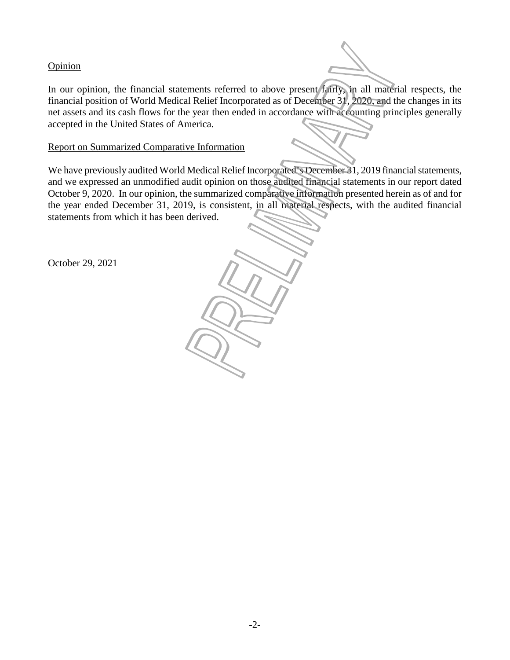### **Opinion**

In our opinion, the financial statements referred to above present fairly, in all material respects, the financial position of World Medical Relief Incorporated as of December 31, 2020, and the changes in its net assets and its cash flows for the year then ended in accordance with accounting principles generally accepted in the United States of America.

### Report on Summarized Comparative Information

We have previously audited World Medical Relief Incorporated's December 31, 2019 financial statements, and we expressed an unmodified audit opinion on those audited financial statements in our report dated October 9, 2020. In our opinion, the summarized comparative information presented herein as of and for the year ended December 31, 2019, is consistent, in all material respects, with the audited financial statements from which it has been derived.

October 29, 2021

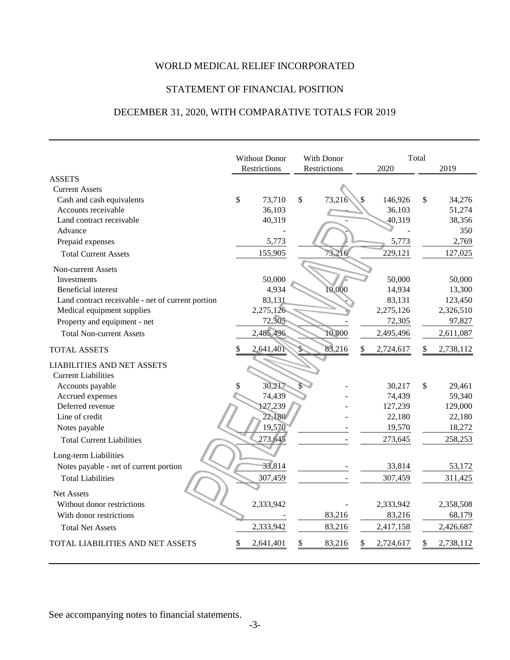# STATEMENT OF FINANCIAL POSITION

# DECEMBER 31, 2020, WITH COMPARATIVE TOTALS FOR 2019

<span id="page-4-0"></span>

|                                                   | <b>Without Donor</b> | With Donor             |                 | Total |           |
|---------------------------------------------------|----------------------|------------------------|-----------------|-------|-----------|
| <b>ASSETS</b>                                     | Restrictions         | Restrictions           | 2020            |       | 2019      |
| <b>Current Assets</b>                             |                      |                        |                 |       |           |
| Cash and cash equivalents                         | \$<br>73,710         | $\mathbb{S}$<br>73,216 | 146,926         | \$    | 34,276    |
| Accounts receivable                               | 36,103               |                        | 36,103          |       | 51,274    |
| Land contract receivable                          | 40,319               |                        | 40,319          |       | 38,356    |
| Advance                                           |                      |                        |                 |       | 350       |
| Prepaid expenses                                  | 5,773                |                        | 5,773           |       | 2,769     |
| <b>Total Current Assets</b>                       | 155,905              | 73,216                 | 229,121         |       | 127,025   |
| <b>Non-current Assets</b>                         |                      |                        |                 |       |           |
| <b>Investments</b>                                | 50,000               |                        | 50,000          |       | 50,000    |
| Beneficial interest                               | 4,934                | 10,000                 | 14,934          |       | 13,300    |
| Land contract receivable - net of current portion | 83,131               |                        | 83,131          |       | 123,450   |
| Medical equipment supplies                        | 2,275,126            |                        | 2,275,126       |       | 2,326,510 |
| Property and equipment - net                      | 72,305               |                        | 72,305          |       | 97,827    |
| <b>Total Non-current Assets</b>                   | 2,485,496            | 10,000                 | 2,495,496       |       | 2,611,087 |
| <b>TOTAL ASSETS</b>                               | 2,641,401            | 83,216                 | \$<br>2,724,617 | \$    | 2,738,112 |
| <b>LIABILITIES AND NET ASSETS</b>                 |                      |                        |                 |       |           |
| <b>Current Liabilities</b>                        |                      |                        |                 |       |           |
| Accounts payable                                  | 30,217<br>\$         |                        | 30,217          | \$    | 29,461    |
| Accrued expenses                                  | 74,439               |                        | 74,439          |       | 59,340    |
| Deferred revenue                                  | 127,239              |                        | 127,239         |       | 129,000   |
| Line of credit                                    | 22,180               |                        | 22,180          |       | 22,180    |
| Notes payable                                     | 19,570               |                        | 19,570          |       | 18,272    |
| <b>Total Current Liabilities</b>                  | 273,645              |                        | 273,645         |       | 258,253   |
| Long-term Liabilities                             |                      |                        |                 |       |           |
| Notes payable - net of current portion            | 33,814               |                        | 33,814          |       | 53,172    |
| <b>Total Liabilities</b>                          | 307,459              |                        | 307,459         |       | 311,425   |
| Net Assets                                        |                      |                        |                 |       |           |
| Without donor restrictions                        | 2,333,942            |                        | 2,333,942       |       | 2,358,508 |
| With donor restrictions                           |                      | 83,216                 | 83,216          |       | 68,179    |
| <b>Total Net Assets</b>                           | 2,333,942            | 83,216                 | 2,417,158       |       | 2,426,687 |
| TOTAL LIABILITIES AND NET ASSETS                  | 2,641,401            | 83,216<br>\$           | 2,724,617       |       | 2,738,112 |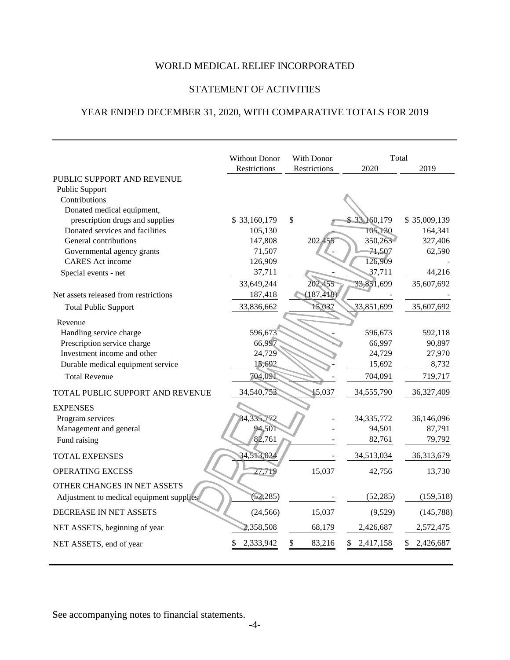# STATEMENT OF ACTIVITIES

# <span id="page-5-0"></span>YEAR ENDED DECEMBER 31, 2020, WITH COMPARATIVE TOTALS FOR 2019

|                                          | <b>Without Donor</b> | With Donor   | Total           |                 |
|------------------------------------------|----------------------|--------------|-----------------|-----------------|
|                                          | Restrictions         | Restrictions | 2020            | 2019            |
| PUBLIC SUPPORT AND REVENUE               |                      |              |                 |                 |
| <b>Public Support</b>                    |                      |              |                 |                 |
| Contributions                            |                      |              |                 |                 |
| Donated medical equipment,               |                      |              |                 |                 |
| prescription drugs and supplies          | \$33,160,179         | \$           | \$33,160,179    | \$35,009,139    |
| Donated services and facilities          | 105,130              |              | 105,130         | 164,341         |
| General contributions                    | 147,808              | 202,455      | 350,263         | 327,406         |
| Governmental agency grants               | 71,507               |              | 71,507          | 62,590          |
| <b>CARES</b> Act income                  | 126,909              |              | 126,909         |                 |
| Special events - net                     | 37,711               |              | 37,711          | 44,216          |
|                                          | 33,649,244           | 202,455      | 33,851,699      | 35,607,692      |
| Net assets released from restrictions    | 187,418              | (187, 418)   |                 |                 |
| <b>Total Public Support</b>              | 33,836,662           | 15,037       | 33,851,699      | 35,607,692      |
| Revenue                                  |                      |              |                 |                 |
| Handling service charge                  | 596,673              |              | 596,673         | 592,118         |
| Prescription service charge              | 66,997               |              | 66,997          | 90,897          |
| Investment income and other              | 24,729               |              | 24,729          | 27,970          |
| Durable medical equipment service        | 15,692               |              | 15,692          | 8,732           |
| <b>Total Revenue</b>                     | 704,091              |              | 704,091         | 719,717         |
| TOTAL PUBLIC SUPPORT AND REVENUE         | 34,540,753           | 15,037       | 34,555,790      | 36,327,409      |
| <b>EXPENSES</b>                          |                      |              |                 |                 |
| Program services                         | 34, 335, 772         |              | 34, 335, 772    | 36,146,096      |
| Management and general                   | 94.501               |              | 94,501          | 87,791          |
| Fund raising                             | 82,761               |              | 82,761          | 79,792          |
| <b>TOTAL EXPENSES</b>                    | 34,513,034           |              | 34,513,034      | 36,313,679      |
| <b>OPERATING EXCESS</b>                  | 27,719               | 15,037       | 42,756          | 13,730          |
| OTHER CHANGES IN NET ASSETS              |                      |              |                 |                 |
| Adjustment to medical equipment supplies | (52, 285)            |              | (52, 285)       | (159, 518)      |
| DECREASE IN NET ASSETS                   | (24, 566)            | 15,037       | (9,529)         | (145,788)       |
| NET ASSETS, beginning of year            | 2,358,508            | 68,179       | 2,426,687       | 2,572,475       |
| NET ASSETS, end of year                  | 2,333,942            | 83,216<br>S  | 2,417,158<br>\$ | 2,426,687<br>\$ |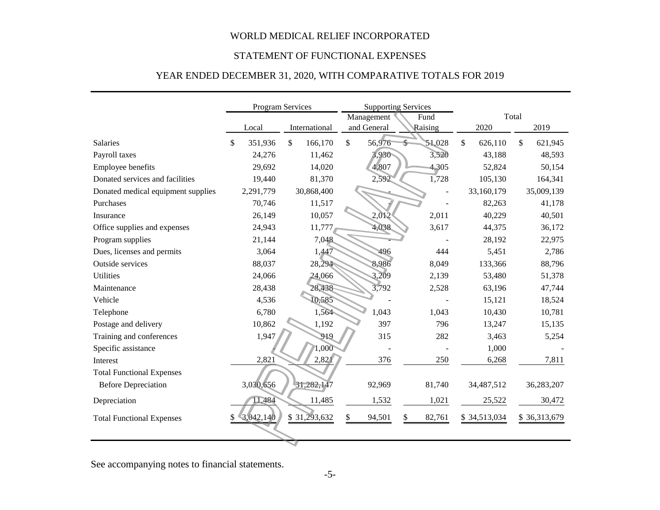# STATEMENT OF FUNCTIONAL EXPENSES

# YEAR ENDED DECEMBER 31, 2020, WITH COMPARATIVE TOTALS FOR 2019

<span id="page-6-0"></span>

|                                    | <b>Program Services</b> |           | <b>Supporting Services</b> |    |                           |   |         |    |              |       |              |
|------------------------------------|-------------------------|-----------|----------------------------|----|---------------------------|---|---------|----|--------------|-------|--------------|
|                                    |                         | Local     | International              |    | Management<br>and General |   | Fund    |    | 2020         | Total | 2019         |
|                                    |                         |           |                            |    |                           |   | Raising |    |              |       |              |
| Salaries                           | \$                      | 351,936   | \$<br>166,170              | \$ | 56,976                    |   | 51,028  | \$ | 626,110      | \$    | 621,945      |
| Payroll taxes                      |                         | 24,276    | 11,462                     |    | ,930<br>З                 |   | 3,520   |    | 43,188       |       | 48,593       |
| Employee benefits                  |                         | 29,692    | 14,020                     |    | 4,807                     |   | 4,305   |    | 52,824       |       | 50,154       |
| Donated services and facilities    |                         | 19,440    | 81,370                     |    | 2,592                     |   | 1,728   |    | 105,130      |       | 164,341      |
| Donated medical equipment supplies |                         | 2,291,779 | 30,868,400                 |    |                           |   |         |    | 33,160,179   |       | 35,009,139   |
| Purchases                          |                         | 70,746    | 11,517                     |    |                           |   |         |    | 82,263       |       | 41,178       |
| Insurance                          |                         | 26,149    | 10,057                     |    | 2,012                     |   | 2,011   |    | 40,229       |       | 40,501       |
| Office supplies and expenses       |                         | 24,943    | 11,777                     |    | 4,038                     |   | 3,617   |    | 44,375       |       | 36,172       |
| Program supplies                   |                         | 21,144    | 7,048                      |    |                           |   |         |    | 28,192       |       | 22,975       |
| Dues, licenses and permits         |                         | 3,064     | 1,447                      |    | 496                       |   | 444     |    | 5,451        |       | 2,786        |
| Outside services                   |                         | 88,037    | 28,294                     |    | 8,986                     |   | 8,049   |    | 133,366      |       | 88,796       |
| <b>Utilities</b>                   |                         | 24,066    | 24,066                     |    | 3,209                     |   | 2,139   |    | 53,480       |       | 51,378       |
| Maintenance                        |                         | 28,438    | 28,438                     |    | 3,792                     |   | 2,528   |    | 63,196       |       | 47,744       |
| Vehicle                            |                         | 4,536     | 0,585                      |    |                           |   |         |    | 15,121       |       | 18,524       |
| Telephone                          |                         | 6,780     | 1,564                      |    | 1,043                     |   | 1,043   |    | 10,430       |       | 10,781       |
| Postage and delivery               |                         | 10,862    | 1,192                      |    | 397                       |   | 796     |    | 13,247       |       | 15,135       |
| Training and conferences           |                         | 1,947     | 919                        |    | 315                       |   | 282     |    | 3,463        |       | 5,254        |
| Specific assistance                |                         |           | 1,000                      |    |                           |   |         |    | 1,000        |       |              |
| Interest                           |                         | 2,821     | 2,821                      |    | 376                       |   | 250     |    | 6,268        |       | 7,811        |
| <b>Total Functional Expenses</b>   |                         |           |                            |    |                           |   |         |    |              |       |              |
| <b>Before Depreciation</b>         |                         | 3,030,656 | 31,282,147                 |    | 92,969                    |   | 81,740  |    | 34,487,512   |       | 36,283,207   |
| Depreciation                       |                         | 1,484     | 11,485                     |    | 1,532                     |   | 1,021   |    | 25,522       |       | 30,472       |
| <b>Total Functional Expenses</b>   | $\mathbb{S}$            | 3,042,140 | \$31,293,632               | \$ | 94,501                    | S | 82,761  |    | \$34,513,034 |       | \$36,313,679 |
|                                    |                         |           |                            |    |                           |   |         |    |              |       |              |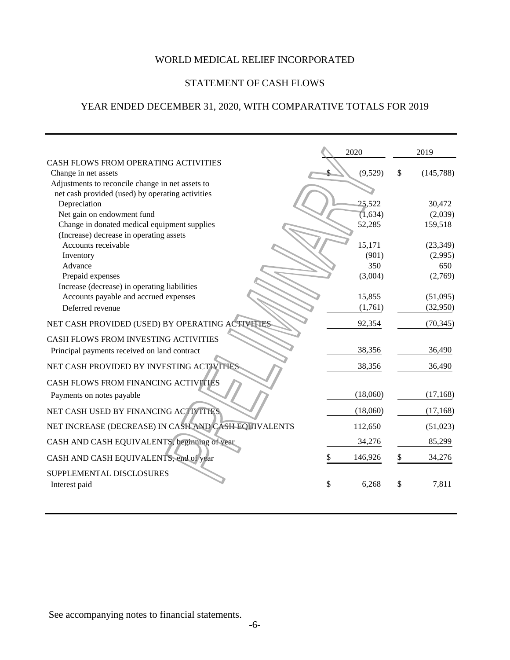# STATEMENT OF CASH FLOWS

# <span id="page-7-0"></span>YEAR ENDED DECEMBER 31, 2020, WITH COMPARATIVE TOTALS FOR 2019

|                                                                | 2020            | 2019                 |
|----------------------------------------------------------------|-----------------|----------------------|
| CASH FLOWS FROM OPERATING ACTIVITIES                           |                 |                      |
| Change in net assets                                           | (9,529)         | \$<br>(145,788)      |
| Adjustments to reconcile change in net assets to               |                 |                      |
| net cash provided (used) by operating activities               |                 |                      |
| Depreciation                                                   | 25,522          | 30,472               |
| Net gain on endowment fund                                     | (1,634)         | (2,039)              |
| Change in donated medical equipment supplies                   | 52,285          | 159,518              |
| (Increase) decrease in operating assets<br>Accounts receivable |                 |                      |
| Inventory                                                      | 15,171<br>(901) | (23, 349)<br>(2,995) |
| Advance                                                        | 350             | 650                  |
| Prepaid expenses                                               | (3,004)         | (2,769)              |
| Increase (decrease) in operating liabilities                   |                 |                      |
| Accounts payable and accrued expenses                          | 15,855          | (51,095)             |
| Deferred revenue                                               | (1,761)         | (32,950)             |
|                                                                |                 |                      |
| NET CASH PROVIDED (USED) BY OPERATING ACTIVITIES               | 92,354          | (70, 345)            |
| CASH FLOWS FROM INVESTING ACTIVITIES                           |                 |                      |
| Principal payments received on land contract                   | 38,356          | 36,490               |
| NET CASH PROVIDED BY INVESTING ACTIVITIES                      | 38,356          | 36,490               |
| CASH FLOWS FROM FINANCING ACTIVITIES                           |                 |                      |
| Payments on notes payable                                      | (18,060)        | (17, 168)            |
| NET CASH USED BY FINANCING ACTIVITIES                          | (18,060)        | (17, 168)            |
| NET INCREASE (DECREASE) IN CASH AND CASH EQUIVALENTS           | 112,650         | (51,023)             |
| CASH AND CASH EQUIVALENTS, beginning of year                   | 34,276          | 85,299               |
| CASH AND CASH EQUIVALENTS, end of year                         | \$<br>146,926   | \$<br>34,276         |
| SUPPLEMENTAL DISCLOSURES                                       |                 |                      |
| Interest paid                                                  | 6,268           | \$<br>7,811          |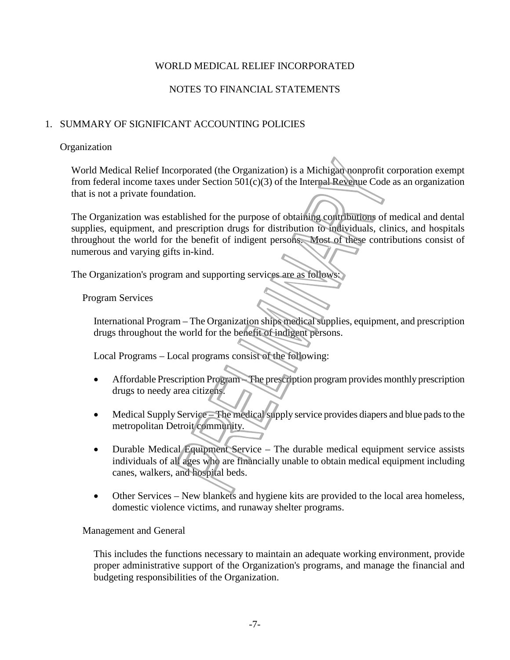# NOTES TO FINANCIAL STATEMENTS

# <span id="page-8-0"></span>1. SUMMARY OF SIGNIFICANT ACCOUNTING POLICIES

#### **Organization**

World Medical Relief Incorporated (the Organization) is a Michigan nonprofit corporation exempt from federal income taxes under Section  $501(c)(3)$  of the Internal Revenue Code as an organization that is not a private foundation.

The Organization was established for the purpose of obtaining contributions of medical and dental supplies, equipment, and prescription drugs for distribution to individuals, clinics, and hospitals throughout the world for the benefit of indigent persons. Most of these contributions consist of numerous and varying gifts in-kind.

The Organization's program and supporting services are as follows:

### Program Services

International Program – The Organization ships medical supplies, equipment, and prescription drugs throughout the world for the benefit of indigent persons.

Local Programs – Local programs consist of the following:

- Affordable Prescription Program The prescription program provides monthly prescription drugs to needy area citizens.
- Medical Supply Service The medical supply service provides diapers and blue pads to the metropolitan Detroit community.
- Durable Medical Equipment Service The durable medical equipment service assists individuals of all ages who are financially unable to obtain medical equipment including canes, walkers, and hospital beds.
- Other Services New blankets and hygiene kits are provided to the local area homeless, domestic violence victims, and runaway shelter programs.

#### Management and General

This includes the functions necessary to maintain an adequate working environment, provide proper administrative support of the Organization's programs, and manage the financial and budgeting responsibilities of the Organization.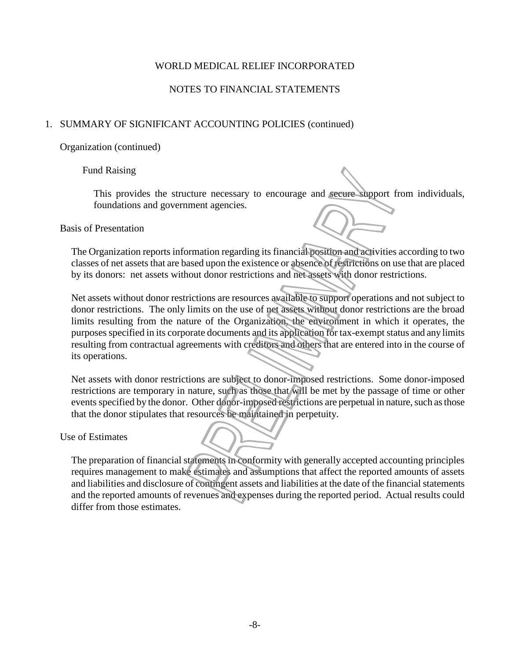### NOTES TO FINANCIAL STATEMENTS

### 1. SUMMARY OF SIGNIFICANT ACCOUNTING POLICIES (continued)

#### Organization (continued)

#### Fund Raising

This provides the structure necessary to encourage and secure support from individuals, foundations and government agencies.

#### Basis of Presentation

The Organization reports information regarding its financial position and activities according to two classes of net assets that are based upon the existence or absence of restrictions on use that are placed by its donors: net assets without donor restrictions and net assets with donor restrictions.

Net assets without donor restrictions are resources available to support operations and not subject to donor restrictions. The only limits on the use of net assets without donor restrictions are the broad limits resulting from the nature of the Organization, the environment in which it operates, the purposes specified in its corporate documents and its application for tax-exempt status and any limits resulting from contractual agreements with creditors and others that are entered into in the course of its operations.

Net assets with donor restrictions are subject to donor-imposed restrictions. Some donor-imposed restrictions are temporary in nature, such as those that will be met by the passage of time or other events specified by the donor. Other donor-imposed restrictions are perpetual in nature, such as those that the donor stipulates that resources be maintained in perpetuity.

Use of Estimates

The preparation of financial statements in conformity with generally accepted accounting principles requires management to make estimates and assumptions that affect the reported amounts of assets and liabilities and disclosure of contingent assets and liabilities at the date of the financial statements and the reported amounts of revenues and expenses during the reported period. Actual results could differ from those estimates.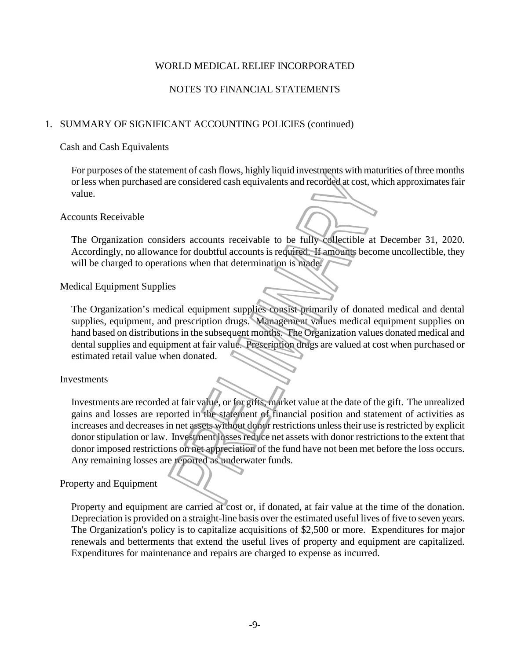# NOTES TO FINANCIAL STATEMENTS

### 1. SUMMARY OF SIGNIFICANT ACCOUNTING POLICIES (continued)

#### Cash and Cash Equivalents

For purposes of the statement of cash flows, highly liquid investments with maturities of three months or less when purchased are considered cash equivalents and recorded at cost, which approximates fair value.

#### Accounts Receivable

The Organization considers accounts receivable to be fully collectible at December 31, 2020. Accordingly, no allowance for doubtful accounts is required. If amounts become uncollectible, they will be charged to operations when that determination is made.

#### Medical Equipment Supplies

The Organization's medical equipment supplies consist primarily of donated medical and dental supplies, equipment, and prescription drugs. Management values medical equipment supplies on hand based on distributions in the subsequent months. The Organization values donated medical and dental supplies and equipment at fair value. Prescription drugs are valued at cost when purchased or estimated retail value when donated.

#### Investments

Investments are recorded at fair value, or for gifts, market value at the date of the gift. The unrealized gains and losses are reported in the statement of financial position and statement of activities as increases and decreases in net assets without donor restrictions unless their use is restricted by explicit donor stipulation or law. Investment losses reduce net assets with donor restrictions to the extent that donor imposed restrictions on net appreciation of the fund have not been met before the loss occurs. Any remaining losses are reported as underwater funds.

#### Property and Equipment

Property and equipment are carried at cost or, if donated, at fair value at the time of the donation. Depreciation is provided on a straight-line basis over the estimated useful lives of five to seven years. The Organization's policy is to capitalize acquisitions of \$2,500 or more. Expenditures for major renewals and betterments that extend the useful lives of property and equipment are capitalized. Expenditures for maintenance and repairs are charged to expense as incurred.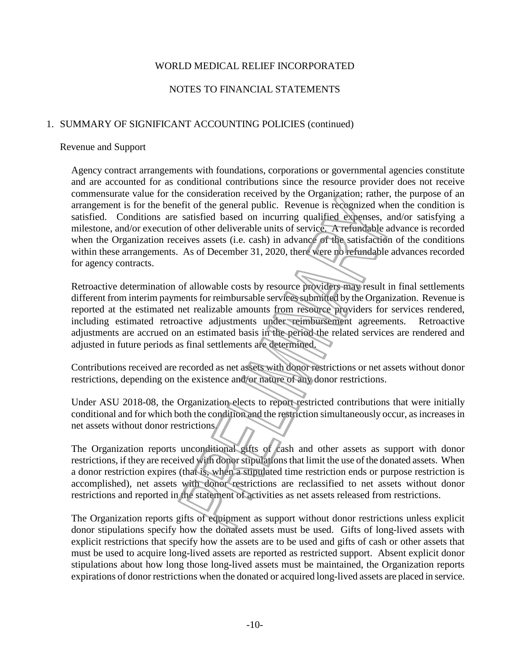### NOTES TO FINANCIAL STATEMENTS

#### 1. SUMMARY OF SIGNIFICANT ACCOUNTING POLICIES (continued)

#### Revenue and Support

Agency contract arrangements with foundations, corporations or governmental agencies constitute and are accounted for as conditional contributions since the resource provider does not receive commensurate value for the consideration received by the Organization; rather, the purpose of an arrangement is for the benefit of the general public. Revenue is recognized when the condition is satisfied. Conditions are satisfied based on incurring qualified expenses, and/or satisfying a milestone, and/or execution of other deliverable units of service. A refundable advance is recorded when the Organization receives assets (i.e. cash) in advance of the satisfaction of the conditions within these arrangements. As of December 31, 2020, there were no refundable advances recorded for agency contracts.

Retroactive determination of allowable costs by resource providers may result in final settlements different from interim payments for reimbursable services submitted by the Organization. Revenue is reported at the estimated net realizable amounts from resource providers for services rendered, including estimated retroactive adjustments under reimbursement agreements. Retroactive adjustments are accrued on an estimated basis in the period the related services are rendered and adjusted in future periods as final settlements are determined.

Contributions received are recorded as net assets with donor restrictions or net assets without donor restrictions, depending on the existence and/or nature of any donor restrictions.

Under ASU 2018-08, the Organization elects to report restricted contributions that were initially conditional and for which both the condition and the restriction simultaneously occur, as increases in net assets without donor restrictions.

The Organization reports unconditional gifts of cash and other assets as support with donor restrictions, if they are received with donor stipulations that limit the use of the donated assets. When a donor restriction expires (that is, when a stipulated time restriction ends or purpose restriction is accomplished), net assets with donor restrictions are reclassified to net assets without donor restrictions and reported in the statement of activities as net assets released from restrictions.

The Organization reports gifts of equipment as support without donor restrictions unless explicit donor stipulations specify how the donated assets must be used. Gifts of long-lived assets with explicit restrictions that specify how the assets are to be used and gifts of cash or other assets that must be used to acquire long-lived assets are reported as restricted support. Absent explicit donor stipulations about how long those long-lived assets must be maintained, the Organization reports expirations of donor restrictions when the donated or acquired long-lived assets are placed in service.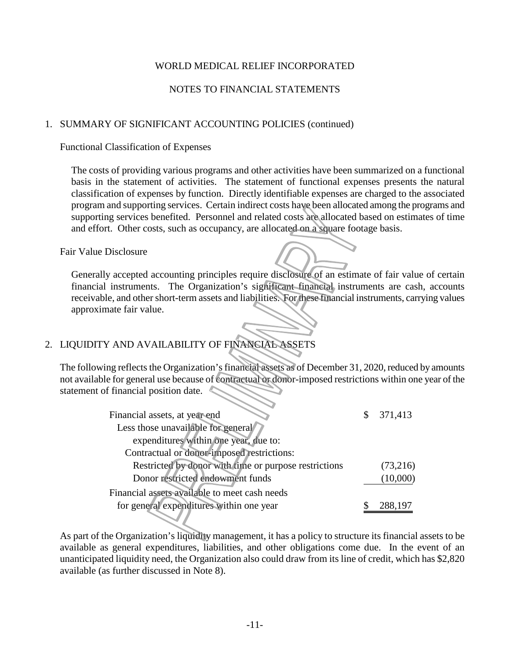# NOTES TO FINANCIAL STATEMENTS

#### 1. SUMMARY OF SIGNIFICANT ACCOUNTING POLICIES (continued)

#### Functional Classification of Expenses

The costs of providing various programs and other activities have been summarized on a functional basis in the statement of activities. The statement of functional expenses presents the natural classification of expenses by function. Directly identifiable expenses are charged to the associated program and supporting services. Certain indirect costs have been allocated among the programs and supporting services benefited. Personnel and related costs are allocated based on estimates of time and effort. Other costs, such as occupancy, are allocated on a square footage basis.

Fair Value Disclosure

Generally accepted accounting principles require disclosure of an estimate of fair value of certain financial instruments. The Organization's significant financial instruments are cash, accounts receivable, and other short-term assets and liabilities. For these financial instruments, carrying values approximate fair value.

# 2. LIQUIDITY AND AVAILABILITY OF FINANCIAL ASSETS

The following reflects the Organization's financial assets as of December 31, 2020, reduced by amounts not available for general use because of contractual or donor-imposed restrictions within one year of the statement of financial position date.

| Financial assets, at year-end                         | S | 371,413  |
|-------------------------------------------------------|---|----------|
| Less those unavailable for general                    |   |          |
| expenditures within one year, due to:                 |   |          |
| Contractual or donor-imposed restrictions:            |   |          |
| Restricted by donor with time or purpose restrictions |   | (73,216) |
| Donor restricted endowment funds                      |   | (10,000) |
| Financial assets available to meet cash needs         |   |          |
| for general expenditures within one year              |   | 288,197  |
|                                                       |   |          |

As part of the Organization's liquidity management, it has a policy to structure its financial assets to be available as general expenditures, liabilities, and other obligations come due. In the event of an unanticipated liquidity need, the Organization also could draw from its line of credit, which has \$2,820 available (as further discussed in Note 8).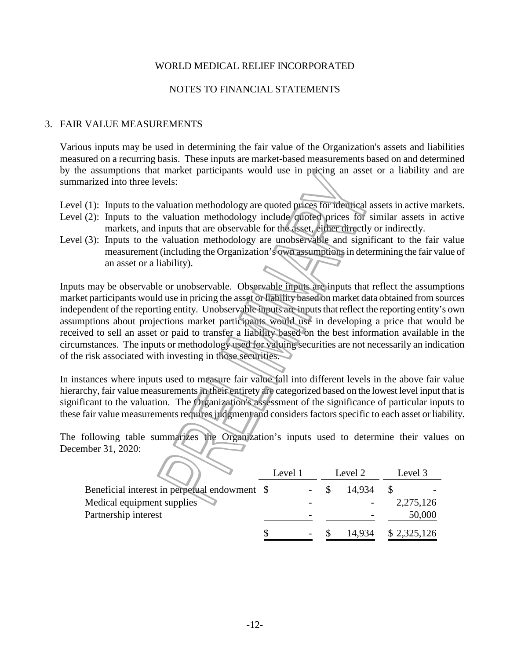### NOTES TO FINANCIAL STATEMENTS

#### 3. FAIR VALUE MEASUREMENTS

Various inputs may be used in determining the fair value of the Organization's assets and liabilities measured on a recurring basis. These inputs are market-based measurements based on and determined by the assumptions that market participants would use in pricing an asset or a liability and are summarized into three levels:

- Level (1): Inputs to the valuation methodology are quoted prices for identical assets in active markets.
- Level (2): Inputs to the valuation methodology include quoted prices for similar assets in active markets, and inputs that are observable for the asset, either directly or indirectly.
- Level (3): Inputs to the valuation methodology are unobservable and significant to the fair value measurement (including the Organization's own assumptions in determining the fair value of an asset or a liability).

Inputs may be observable or unobservable. Observable inputs are inputs that reflect the assumptions market participants would use in pricing the asset or liability based on market data obtained from sources independent of the reporting entity. Unobservable inputs are inputs that reflect the reporting entity's own assumptions about projections market participants would use in developing a price that would be received to sell an asset or paid to transfer a liability based on the best information available in the circumstances. The inputs or methodology used for valuing securities are not necessarily an indication of the risk associated with investing in those securities.

In instances where inputs used to measure fair value fall into different levels in the above fair value hierarchy, fair value measurements in their entirety are categorized based on the lowest level input that is significant to the valuation. The Organization's assessment of the significance of particular inputs to these fair value measurements requires judgment and considers factors specific to each asset or liability.

The following table summarizes the Organization's inputs used to determine their values on December 31, 2020:

|                                               | Level 1 |  | Level 2 | Level 3     |  |
|-----------------------------------------------|---------|--|---------|-------------|--|
| Beneficial interest in perpetual endowment \$ |         |  | 14.934  |             |  |
| Medical equipment supplies                    |         |  |         | 2,275,126   |  |
| Partnership interest                          |         |  |         | 50,000      |  |
|                                               |         |  | 14,934  | \$2,325,126 |  |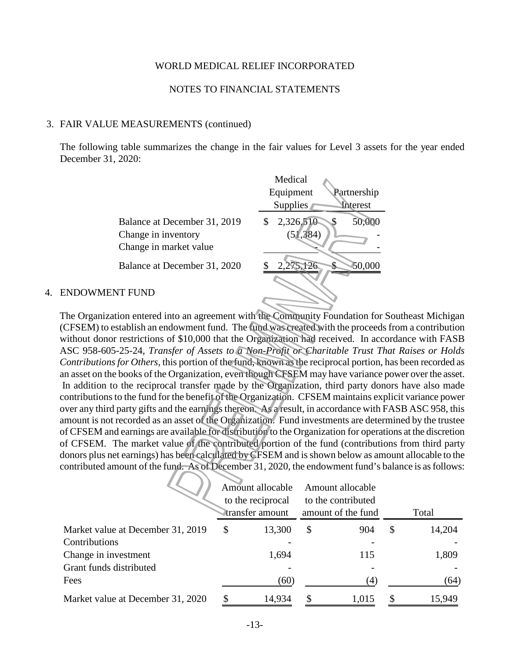#### NOTES TO FINANCIAL STATEMENTS

#### 3. FAIR VALUE MEASUREMENTS (continued)

The following table summarizes the change in the fair values for Level 3 assets for the year ended December 31, 2020:



#### 4. ENDOWMENT FUND

The Organization entered into an agreement with the Community Foundation for Southeast Michigan (CFSEM) to establish an endowment fund. The fund was created with the proceeds from a contribution without donor restrictions of \$10,000 that the Organization had received. In accordance with FASB ASC 958-605-25-24, *Transfer of Assets to a Non-Profit or Charitable Trust That Raises or Holds Contributions for Others*, this portion of the fund, known as the reciprocal portion, has been recorded as an asset on the books of the Organization, even though CFSEM may have variance power over the asset. In addition to the reciprocal transfer made by the Organization, third party donors have also made contributions to the fund for the benefit of the Organization. CFSEM maintains explicit variance power over any third party gifts and the earnings thereon. As a result, in accordance with FASB ASC 958, this amount is not recorded as an asset of the Organization. Fund investments are determined by the trustee of CFSEM and earnings are available for distribution to the Organization for operations at the discretion of CFSEM. The market value of the contributed portion of the fund (contributions from third party donors plus net earnings) has been calculated by CFSEM and is shown below as amount allocable to the contributed amount of the fund. As of December 31, 2020, the endowment fund's balance is as follows:

|                                   | Amount allocable<br>to the reciprocal<br>transfer amount | Amount allocable<br>to the contributed<br>amount of the fund |   | Total  |
|-----------------------------------|----------------------------------------------------------|--------------------------------------------------------------|---|--------|
| Market value at December 31, 2019 | \$<br>13,300                                             | \$<br>904                                                    | S | 14,204 |
| Contributions                     |                                                          |                                                              |   |        |
| Change in investment              | 1,694                                                    | 115                                                          |   | 1,809  |
| Grant funds distributed           |                                                          |                                                              |   |        |
| Fees                              | (60)                                                     | (4)                                                          |   | (64)   |
| Market value at December 31, 2020 | 14,934                                                   | 1,015                                                        |   | 15,949 |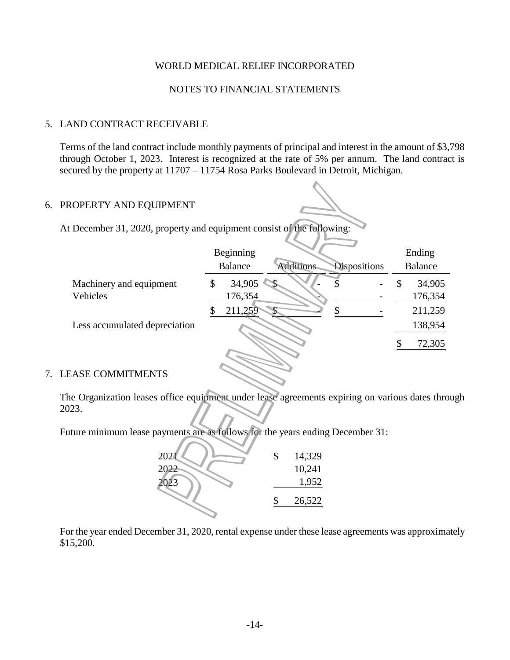### NOTES TO FINANCIAL STATEMENTS

#### 5. LAND CONTRACT RECEIVABLE

Terms of the land contract include monthly payments of principal and interest in the amount of \$3,798 through October 1, 2023. Interest is recognized at the rate of 5% per annum. The land contract is secured by the property at 11707 – 11754 Rosa Parks Boulevard in Detroit, Michigan.

#### 6. PROPERTY AND EQUIPMENT

At December 31, 2020, property and equipment consist of the following:

|                               | Beginning      |                  |                     | Ending         |
|-------------------------------|----------------|------------------|---------------------|----------------|
|                               | <b>Balance</b> | <b>Additions</b> | <b>Dispositions</b> | <b>Balance</b> |
| Machinery and equipment       | 34,905         |                  |                     | 34,905         |
| Vehicles                      | 176,354        |                  |                     | 176,354        |
|                               | 211,259        |                  |                     | 211,259        |
| Less accumulated depreciation |                |                  |                     | 138,954        |
|                               |                |                  |                     | 72,305         |
| <b>LEASE COMMITMENTS</b>      |                |                  |                     |                |

The Organization leases office equipment under lease agreements expiring on various dates through 2023.

Future minimum lease payments are as follows for the years ending December 31:

| 2021<br>2022<br>2023 | \$<br>14,329<br>10,241<br>1,952 |
|----------------------|---------------------------------|
|                      | 26,522                          |

For the year ended December 31, 2020, rental expense under these lease agreements was approximately \$15,200.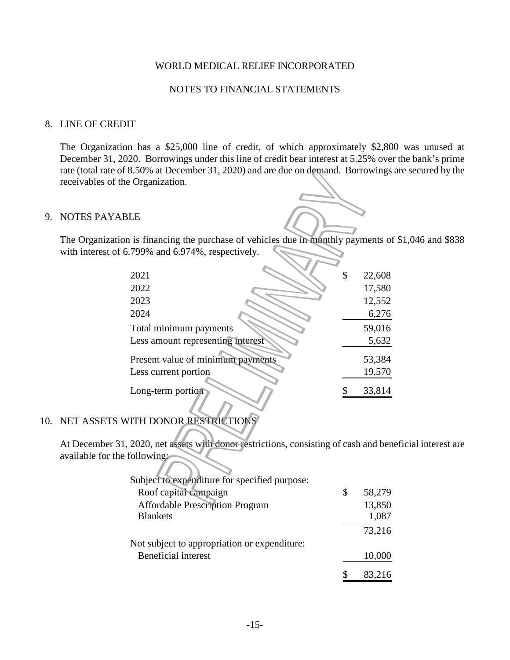#### NOTES TO FINANCIAL STATEMENTS

#### 8. LINE OF CREDIT

The Organization has a \$25,000 line of credit, of which approximately \$2,800 was unused at December 31, 2020. Borrowings under this line of credit bear interest at 5.25% over the bank's prime rate (total rate of 8.50% at December 31, 2020) and are due on demand. Borrowings are secured by the receivables of the Organization.

#### 9. NOTES PAYABLE

The Organization is financing the purchase of vehicles due in monthly payments of \$1,046 and \$838 with interest of 6.799% and 6.974%, respectively.

| 2021                              | \$<br>22,608 |
|-----------------------------------|--------------|
| 2022                              | 17,580       |
| 2023                              | 12,552       |
| 2024                              | 6,276        |
| Total minimum payments            | 59,016       |
| Less amount representing interest | 5,632        |
| Present value of minimum payments | 53,384       |
| Less current portion              | 19,570       |
| Long-term portion                 | 33,814       |
|                                   |              |

# 10. NET ASSETS WITH DONOR RESTRICTIONS

At December 31, 2020, net assets with donor restrictions, consisting of cash and beneficial interest are available for the following:

| Subject to expenditure for specified purpose: |              |
|-----------------------------------------------|--------------|
| Roof capital campaign                         | \$<br>58,279 |
| <b>Affordable Prescription Program</b>        | 13,850       |
| <b>Blankets</b>                               | 1,087        |
|                                               | 73,216       |
| Not subject to appropriation or expenditure:  |              |
| <b>Beneficial interest</b>                    | 10,000       |
|                                               | 83,216       |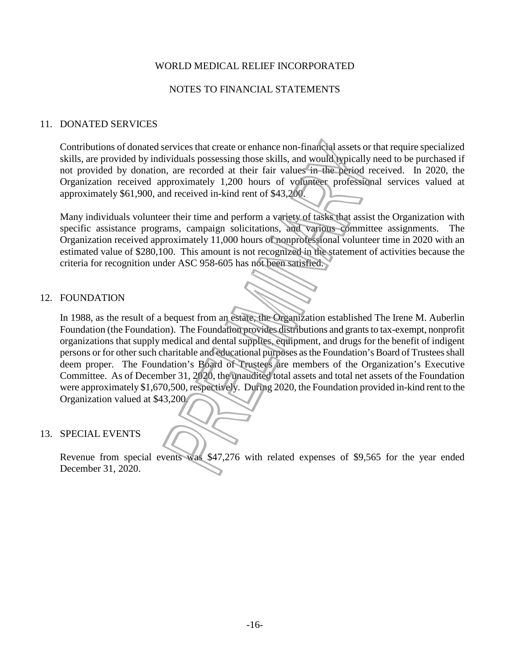### NOTES TO FINANCIAL STATEMENTS

#### 11. DONATED SERVICES

Contributions of donated services that create or enhance non-financial assets or that require specialized skills, are provided by individuals possessing those skills, and would typically need to be purchased if not provided by donation, are recorded at their fair values in the period received. In 2020, the Organization received approximately 1,200 hours of volunteer professional services valued at approximately \$61,900, and received in-kind rent of \$43,200.

Many individuals volunteer their time and perform a variety of tasks that assist the Organization with specific assistance programs, campaign solicitations, and various committee assignments. The Organization received approximately 11,000 hours of nonprofessional volunteer time in 2020 with an estimated value of \$280,100. This amount is not recognized in the statement of activities because the criteria for recognition under ASC 958-605 has not been satisfied.

#### 12. FOUNDATION

In 1988, as the result of a bequest from an estate, the Organization established The Irene M. Auberlin Foundation (the Foundation). The Foundation provides distributions and grants to tax-exempt, nonprofit organizations that supply medical and dental supplies, equipment, and drugs for the benefit of indigent persons or for other such charitable and educational purposes as the Foundation's Board of Trustees shall deem proper. The Foundation's Board of Trustees are members of the Organization's Executive Committee. As of December 31, 2020, the unaudited total assets and total net assets of the Foundation were approximately \$1,670,500, respectively. During 2020, the Foundation provided in-kind rent to the Organization valued at \$43,200.

#### 13. SPECIAL EVENTS

Revenue from special events was \$47,276 with related expenses of \$9,565 for the year ended December 31, 2020.